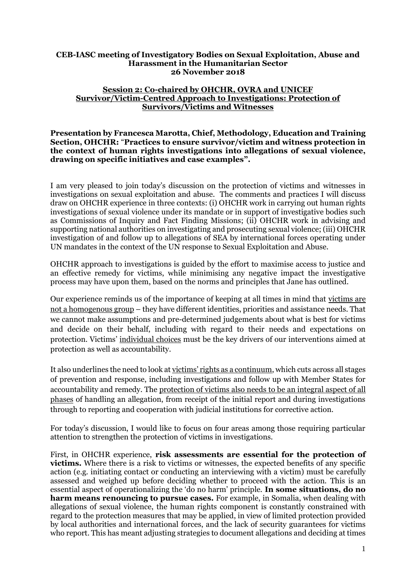## **CEB-IASC meeting of Investigatory Bodies on Sexual Exploitation, Abuse and Harassment in the Humanitarian Sector 26 November 2018**

## **Session 2: Co-chaired by OHCHR, OVRA and UNICEF Survivor/Victim-Centred Approach to Investigations: Protection of Survivors/Victims and Witnesses**

## **Presentation by Francesca Marotta, Chief, Methodology, Education and Training Section, OHCHR:** "**Practices to ensure survivor/victim and witness protection in the context of human rights investigations into allegations of sexual violence, drawing on specific initiatives and case examples".**

I am very pleased to join today's discussion on the protection of victims and witnesses in investigations on sexual exploitation and abuse. The comments and practices I will discuss draw on OHCHR experience in three contexts: (i) OHCHR work in carrying out human rights investigations of sexual violence under its mandate or in support of investigative bodies such as Commissions of Inquiry and Fact Finding Missions; (ii) OHCHR work in advising and supporting national authorities on investigating and prosecuting sexual violence; (iii) OHCHR investigation of and follow up to allegations of SEA by international forces operating under UN mandates in the context of the UN response to Sexual Exploitation and Abuse.

OHCHR approach to investigations is guided by the effort to maximise access to justice and an effective remedy for victims, while minimising any negative impact the investigative process may have upon them, based on the norms and principles that Jane has outlined.

Our experience reminds us of the importance of keeping at all times in mind that victims are not a homogenous group – they have different identities, priorities and assistance needs. That we cannot make assumptions and pre-determined judgements about what is best for victims and decide on their behalf, including with regard to their needs and expectations on protection. Victims' individual choices must be the key drivers of our interventions aimed at protection as well as accountability.

It also underlines the need to look at victims' rights as a continuum, which cuts across all stages of prevention and response, including investigations and follow up with Member States for accountability and remedy. The protection of victims also needs to be an integral aspect of all phases of handling an allegation, from receipt of the initial report and during investigations through to reporting and cooperation with judicial institutions for corrective action.

For today's discussion, I would like to focus on four areas among those requiring particular attention to strengthen the protection of victims in investigations.

First, in OHCHR experience, **risk assessments are essential for the protection of victims.** Where there is a risk to victims or witnesses, the expected benefits of any specific action (e.g. initiating contact or conducting an interviewing with a victim) must be carefully assessed and weighed up before deciding whether to proceed with the action. This is an essential aspect of operationalizing the 'do no harm' principle. **In some situations, do no harm means renouncing to pursue cases.** For example, in Somalia, when dealing with allegations of sexual violence, the human rights component is constantly constrained with regard to the protection measures that may be applied, in view of limited protection provided by local authorities and international forces, and the lack of security guarantees for victims who report. This has meant adjusting strategies to document allegations and deciding at times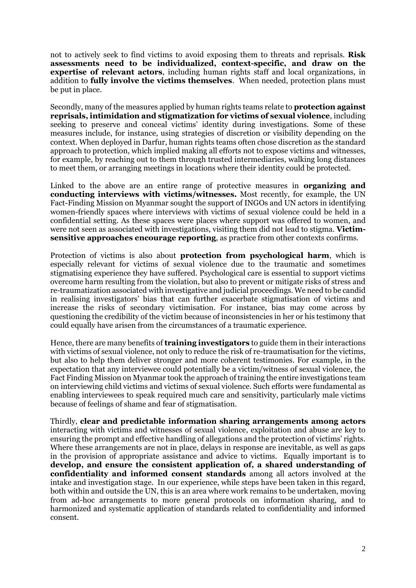not to actively seek to find victims to avoid exposing them to threats and reprisals. **Risk assessments need to be individualized, context-specific, and draw on the expertise of relevant actors**, including human rights staff and local organizations, in addition to **fully involve the victims themselves**. When needed, protection plans must be put in place.

Secondly, many of the measures applied by human rights teams relate to **protection against reprisals, intimidation and stigmatization for victims of sexual violence**, including seeking to preserve and conceal victims' identity during investigations. Some of these measures include, for instance, using strategies of discretion or visibility depending on the context. When deployed in Darfur, human rights teams often chose discretion as the standard approach to protection, which implied making all efforts not to expose victims and witnesses, for example, by reaching out to them through trusted intermediaries, walking long distances to meet them, or arranging meetings in locations where their identity could be protected.

Linked to the above are an entire range of protective measures in **organizing and conducting interviews with victims/witnesses.** Most recently, for example, the UN Fact-Finding Mission on Myanmar sought the support of INGOs and UN actors in identifying women-friendly spaces where interviews with victims of sexual violence could be held in a confidential setting. As these spaces were places where support was offered to women, and were not seen as associated with investigations, visiting them did not lead to stigma. **Victimsensitive approaches encourage reporting**, as practice from other contexts confirms.

Protection of victims is also about **protection from psychological harm**, which is especially relevant for victims of sexual violence due to the traumatic and sometimes stigmatising experience they have suffered. Psychological care is essential to support victims overcome harm resulting from the violation, but also to prevent or mitigate risks of stress and re-traumatization associated with investigative and judicial proceedings. We need to be candid in realising investigators' bias that can further exacerbate stigmatisation of victims and increase the risks of secondary victimisation. For instance, bias may come across by questioning the credibility of the victim because of inconsistencies in her or his testimony that could equally have arisen from the circumstances of a traumatic experience.

Hence, there are many benefits of **training investigators** to guide them in their interactions with victims of sexual violence, not only to reduce the risk of re-traumatisation for the victims, but also to help them deliver stronger and more coherent testimonies. For example, in the expectation that any interviewee could potentially be a victim/witness of sexual violence, the Fact Finding Mission on Myanmar took the approach of training the entire investigations team on interviewing child victims and victims of sexual violence. Such efforts were fundamental as enabling interviewees to speak required much care and sensitivity, particularly male victims because of feelings of shame and fear of stigmatisation.

Thirdly, **clear and predictable information sharing arrangements among actors** interacting with victims and witnesses of sexual violence, exploitation and abuse are key to ensuring the prompt and effective handling of allegations and the protection of victims' rights. Where these arrangements are not in place, delays in response are inevitable, as well as gaps in the provision of appropriate assistance and advice to victims. Equally important is to **develop, and ensure the consistent application of, a shared understanding of confidentiality and informed consent standards** among all actors involved at the intake and investigation stage. In our experience, while steps have been taken in this regard, both within and outside the UN, this is an area where work remains to be undertaken, moving from ad-hoc arrangements to more general protocols on information sharing, and to harmonized and systematic application of standards related to confidentiality and informed consent.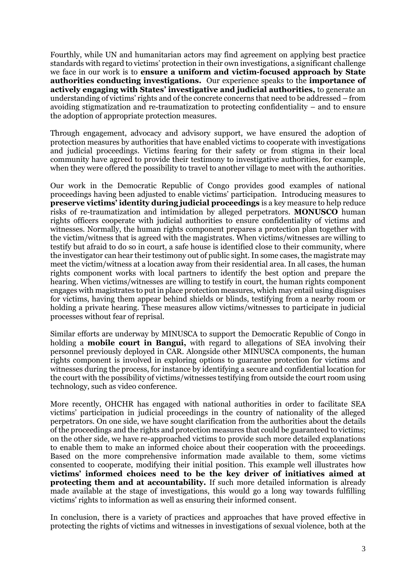Fourthly, while UN and humanitarian actors may find agreement on applying best practice standards with regard to victims' protection in their own investigations, a significant challenge we face in our work is to **ensure a uniform and victim-focused approach by State authorities conducting investigations.** Our experience speaks to the **importance of actively engaging with States' investigative and judicial authorities,** to generate an understanding of victims' rights and of the concrete concerns that need to be addressed – from avoiding stigmatization and re-traumatization to protecting confidentiality – and to ensure the adoption of appropriate protection measures.

Through engagement, advocacy and advisory support, we have ensured the adoption of protection measures by authorities that have enabled victims to cooperate with investigations and judicial proceedings. Victims fearing for their safety or from stigma in their local community have agreed to provide their testimony to investigative authorities, for example, when they were offered the possibility to travel to another village to meet with the authorities.

Our work in the Democratic Republic of Congo provides good examples of national proceedings having been adjusted to enable victims' participation. Introducing measures to **preserve victims' identity during judicial proceedings** is a key measure to help reduce risks of re-traumatization and intimidation by alleged perpetrators. **MONUSCO** human rights officers cooperate with judicial authorities to ensure confidentiality of victims and witnesses. Normally, the human rights component prepares a protection plan together with the victim/witness that is agreed with the magistrates. When victims/witnesses are willing to testify but afraid to do so in court, a safe house is identified close to their community, where the investigator can hear their testimony out of public sight. In some cases, the magistrate may meet the victim/witness at a location away from their residential area. In all cases, the human rights component works with local partners to identify the best option and prepare the hearing. When victims/witnesses are willing to testify in court, the human rights component engages with magistrates to put in place protection measures, which may entail using disguises for victims, having them appear behind shields or blinds, testifying from a nearby room or holding a private hearing. These measures allow victims/witnesses to participate in judicial processes without fear of reprisal.

Similar efforts are underway by MINUSCA to support the Democratic Republic of Congo in holding a **mobile court in Bangui,** with regard to allegations of SEA involving their personnel previously deployed in CAR. Alongside other MINUSCA components, the human rights component is involved in exploring options to guarantee protection for victims and witnesses during the process, for instance by identifying a secure and confidential location for the court with the possibility of victims/witnesses testifying from outside the court room using technology, such as video conference.

More recently, OHCHR has engaged with national authorities in order to facilitate SEA victims' participation in judicial proceedings in the country of nationality of the alleged perpetrators. On one side, we have sought clarification from the authorities about the details of the proceedings and the rights and protection measures that could be guaranteed to victims; on the other side, we have re-approached victims to provide such more detailed explanations to enable them to make an informed choice about their cooperation with the proceedings. Based on the more comprehensive information made available to them, some victims consented to cooperate, modifying their initial position. This example well illustrates how **victims' informed choices need to be the key driver of initiatives aimed at protecting them and at accountability.** If such more detailed information is already made available at the stage of investigations, this would go a long way towards fulfilling victims' rights to information as well as ensuring their informed consent.

In conclusion, there is a variety of practices and approaches that have proved effective in protecting the rights of victims and witnesses in investigations of sexual violence, both at the